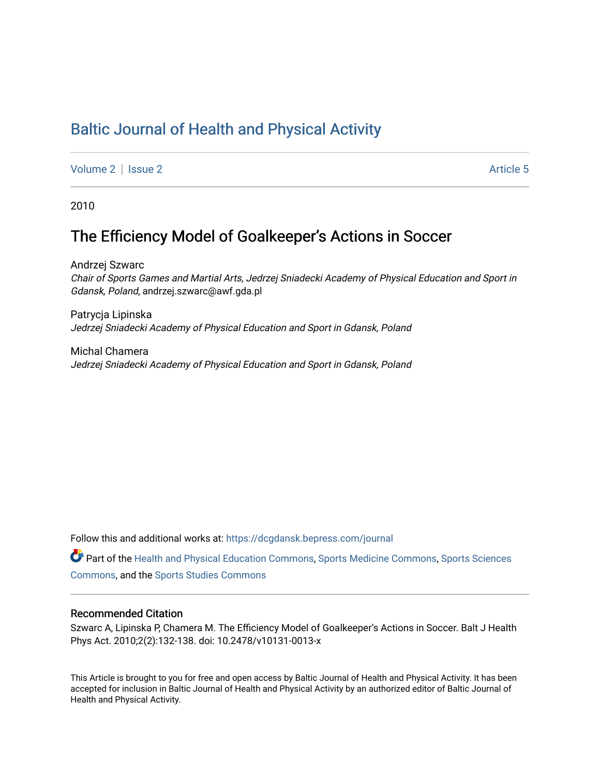# [Baltic Journal of Health and Physical Activity](https://dcgdansk.bepress.com/journal)

[Volume 2](https://dcgdansk.bepress.com/journal/vol2) | [Issue 2](https://dcgdansk.bepress.com/journal/vol2/iss2) Article 5

2010

# The Efficiency Model of Goalkeeper's Actions in Soccer

Andrzej Szwarc Chair of Sports Games and Martial Arts, Jedrzej Sniadecki Academy of Physical Education and Sport in Gdansk, Poland, andrzej.szwarc@awf.gda.pl

Patrycja Lipinska Jedrzej Sniadecki Academy of Physical Education and Sport in Gdansk, Poland

Michal Chamera Jedrzej Sniadecki Academy of Physical Education and Sport in Gdansk, Poland

Follow this and additional works at: [https://dcgdansk.bepress.com/journal](https://dcgdansk.bepress.com/journal?utm_source=dcgdansk.bepress.com%2Fjournal%2Fvol2%2Fiss2%2F5&utm_medium=PDF&utm_campaign=PDFCoverPages)

Part of the [Health and Physical Education Commons](http://network.bepress.com/hgg/discipline/1327?utm_source=dcgdansk.bepress.com%2Fjournal%2Fvol2%2Fiss2%2F5&utm_medium=PDF&utm_campaign=PDFCoverPages), [Sports Medicine Commons,](http://network.bepress.com/hgg/discipline/1331?utm_source=dcgdansk.bepress.com%2Fjournal%2Fvol2%2Fiss2%2F5&utm_medium=PDF&utm_campaign=PDFCoverPages) [Sports Sciences](http://network.bepress.com/hgg/discipline/759?utm_source=dcgdansk.bepress.com%2Fjournal%2Fvol2%2Fiss2%2F5&utm_medium=PDF&utm_campaign=PDFCoverPages) [Commons](http://network.bepress.com/hgg/discipline/759?utm_source=dcgdansk.bepress.com%2Fjournal%2Fvol2%2Fiss2%2F5&utm_medium=PDF&utm_campaign=PDFCoverPages), and the [Sports Studies Commons](http://network.bepress.com/hgg/discipline/1198?utm_source=dcgdansk.bepress.com%2Fjournal%2Fvol2%2Fiss2%2F5&utm_medium=PDF&utm_campaign=PDFCoverPages) 

#### Recommended Citation

Szwarc A, Lipinska P, Chamera M. The Efficiency Model of Goalkeeper's Actions in Soccer. Balt J Health Phys Act. 2010;2(2):132-138. doi: 10.2478/v10131-0013-x

This Article is brought to you for free and open access by Baltic Journal of Health and Physical Activity. It has been accepted for inclusion in Baltic Journal of Health and Physical Activity by an authorized editor of Baltic Journal of Health and Physical Activity.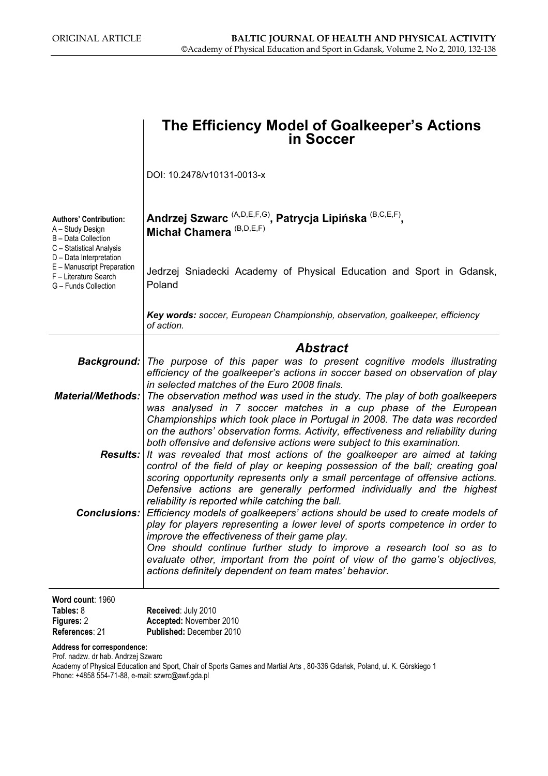|                                                                                                        | The Efficiency Model of Goalkeeper's Actions<br>in Soccer                                                                                                                                                                                                                                                                                                                                                                                                                                                                                                                                                                          |
|--------------------------------------------------------------------------------------------------------|------------------------------------------------------------------------------------------------------------------------------------------------------------------------------------------------------------------------------------------------------------------------------------------------------------------------------------------------------------------------------------------------------------------------------------------------------------------------------------------------------------------------------------------------------------------------------------------------------------------------------------|
|                                                                                                        | DOI: 10.2478/v10131-0013-x                                                                                                                                                                                                                                                                                                                                                                                                                                                                                                                                                                                                         |
| <b>Authors' Contribution:</b><br>A - Study Design<br>B - Data Collection<br>C - Statistical Analysis   | Andrzej Szwarc <sup>(A,D,E,F,G)</sup> , Patrycja Lipińska <sup>(B,C,E,F)</sup> ,<br>Michał Chamera <sup>(B,D,E,F)</sup>                                                                                                                                                                                                                                                                                                                                                                                                                                                                                                            |
| D - Data Interpretation<br>E - Manuscript Preparation<br>F - Literature Search<br>G - Funds Collection | Jedrzej Sniadecki Academy of Physical Education and Sport in Gdansk,<br>Poland                                                                                                                                                                                                                                                                                                                                                                                                                                                                                                                                                     |
|                                                                                                        | Key words: soccer, European Championship, observation, goalkeeper, efficiency<br>of action.                                                                                                                                                                                                                                                                                                                                                                                                                                                                                                                                        |
|                                                                                                        | <b>Abstract</b>                                                                                                                                                                                                                                                                                                                                                                                                                                                                                                                                                                                                                    |
|                                                                                                        | <b>Background:</b> The purpose of this paper was to present cognitive models illustrating<br>efficiency of the goalkeeper's actions in soccer based on observation of play                                                                                                                                                                                                                                                                                                                                                                                                                                                         |
| <b>Material/Methods:</b>                                                                               | in selected matches of the Euro 2008 finals.<br>The observation method was used in the study. The play of both goalkeepers<br>was analysed in 7 soccer matches in a cup phase of the European                                                                                                                                                                                                                                                                                                                                                                                                                                      |
|                                                                                                        | Championships which took place in Portugal in 2008. The data was recorded<br>on the authors' observation forms. Activity, effectiveness and reliability during<br>both offensive and defensive actions were subject to this examination.<br><b>Results:</b> It was revealed that most actions of the goalkeeper are aimed at taking<br>control of the field of play or keeping possession of the ball; creating goal<br>scoring opportunity represents only a small percentage of offensive actions.<br>Defensive actions are generally performed individually and the highest<br>reliability is reported while catching the ball. |
|                                                                                                        | Conclusions: Efficiency models of goalkeepers' actions should be used to create models of<br>play for players representing a lower level of sports competence in order to<br>improve the effectiveness of their game play.<br>One should continue further study to improve a research tool so as to<br>evaluate other, important from the point of view of the game's objectives,<br>actions definitely dependent on team mates' behavior.                                                                                                                                                                                         |
| Word count: 1960<br>Tables: 8<br>Figures: 2                                                            | Received: July 2010<br>Accepted: November 2010                                                                                                                                                                                                                                                                                                                                                                                                                                                                                                                                                                                     |

References: 21 Published: December 2010

Address for correspondence:

Prof. nadzw. dr hab. Andrzej Szwarc

Academy of Physical Education and Sport, Chair of Sports Games and Martial Arts , 80-336 Gdańsk, Poland, ul. K. Górskiego 1 Phone: +4858 554-71-88, e-mail: szwrc@awf.gda.pl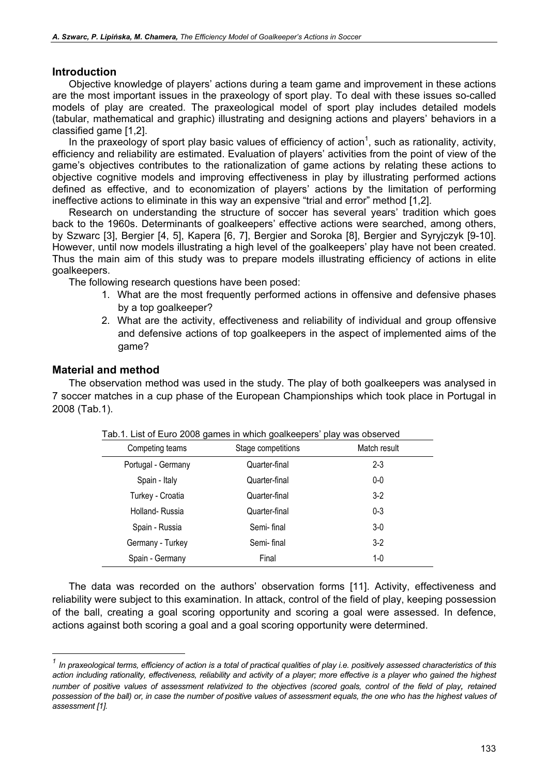### Introduction

Objective knowledge of players' actions during a team game and improvement in these actions are the most important issues in the praxeology of sport play. To deal with these issues so-called models of play are created. The praxeological model of sport play includes detailed models (tabular, mathematical and graphic) illustrating and designing actions and players' behaviors in a classified game [1,2].

In the praxeology of sport play basic values of efficiency of action<sup>1</sup>, such as rationality, activity, efficiency and reliability are estimated. Evaluation of players' activities from the point of view of the game's objectives contributes to the rationalization of game actions by relating these actions to objective cognitive models and improving effectiveness in play by illustrating performed actions defined as effective, and to economization of players' actions by the limitation of performing ineffective actions to eliminate in this way an expensive "trial and error" method [1,2].

Research on understanding the structure of soccer has several years' tradition which goes back to the 1960s. Determinants of goalkeepers' effective actions were searched, among others, by Szwarc [3], Bergier [4, 5], Kapera [6, 7], Bergier and Soroka [8], Bergier and Syryjczyk [9-10]. However, until now models illustrating a high level of the goalkeepers' play have not been created. Thus the main aim of this study was to prepare models illustrating efficiency of actions in elite goalkeepers.

The following research questions have been posed:

- 1. What are the most frequently performed actions in offensive and defensive phases by a top goalkeeper?
- 2. What are the activity, effectiveness and reliability of individual and group offensive and defensive actions of top goalkeepers in the aspect of implemented aims of the game?

### Material and method

The observation method was used in the study. The play of both goalkeepers was analysed in 7 soccer matches in a cup phase of the European Championships which took place in Portugal in 2008 (Tab.1).

| Tab. T. Liot of Laro 2000 games in which goal topols play was observed |                    |              |  |  |  |
|------------------------------------------------------------------------|--------------------|--------------|--|--|--|
| Competing teams                                                        | Stage competitions | Match result |  |  |  |
| Portugal - Germany                                                     | Quarter-final      | $2 - 3$      |  |  |  |
| Spain - Italy                                                          | Quarter-final      | $0-0$        |  |  |  |
| Turkey - Croatia                                                       | Quarter-final      | $3-2$        |  |  |  |
| Holland-Russia                                                         | Quarter-final      | $0 - 3$      |  |  |  |
| Spain - Russia                                                         | Semi-final         | $3-0$        |  |  |  |
| Germany - Turkey                                                       | Semi-final         | $3-2$        |  |  |  |
| Spain - Germany                                                        | Final              | $1 - 0$      |  |  |  |

| Tab.1. List of Euro 2008 games in which goalkeepers' play was observed |  |  |
|------------------------------------------------------------------------|--|--|
|                                                                        |  |  |

The data was recorded on the authors' observation forms [11]. Activity, effectiveness and reliability were subject to this examination. In attack, control of the field of play, keeping possession of the ball, creating a goal scoring opportunity and scoring a goal were assessed. In defence, actions against both scoring a goal and a goal scoring opportunity were determined.

In praxeological terms, efficiency of action is a total of practical qualities of play i.e. positively assessed characteristics of this action including rationality, effectiveness, reliability and activity of a player; more effective is a player who gained the highest number of positive values of assessment relativized to the objectives (scored goals, control of the field of play, retained possession of the ball) or, in case the number of positive values of assessment equals, the one who has the highest values of assessment [1].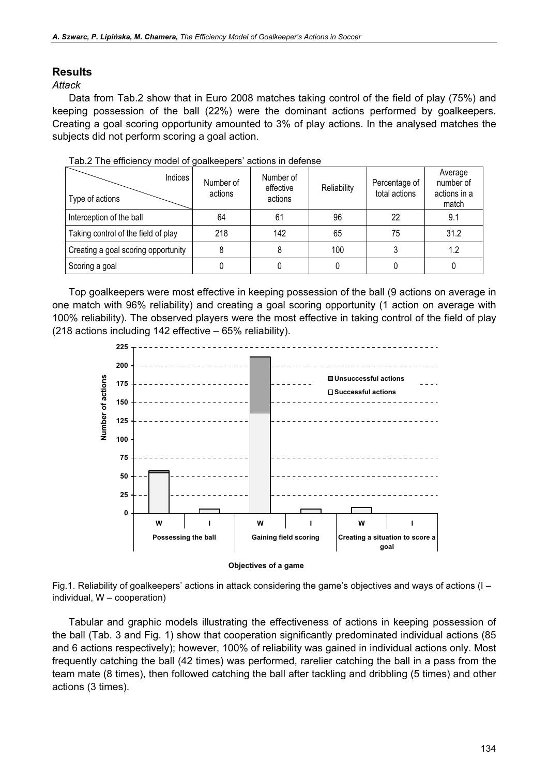## Results

Attack

Data from Tab.2 show that in Euro 2008 matches taking control of the field of play (75%) and keeping possession of the ball (22%) were the dominant actions performed by goalkeepers. Creating a goal scoring opportunity amounted to 3% of play actions. In the analysed matches the subjects did not perform scoring a goal action.

| Indices<br>Type of actions          | Number of<br>actions | Number of<br>effective<br>actions | Reliability | Percentage of<br>total actions | Average<br>number of<br>actions in a<br>match |
|-------------------------------------|----------------------|-----------------------------------|-------------|--------------------------------|-----------------------------------------------|
| Interception of the ball            | 64                   | 61                                | 96          | 22                             | 9.1                                           |
| Taking control of the field of play | 218                  | 142                               | 65          | 75                             | 31.2                                          |
| Creating a goal scoring opportunity |                      |                                   | 100         |                                | 1.2                                           |
| Scoring a goal                      |                      |                                   |             |                                |                                               |

|  | Tab.2 The efficiency model of goalkeepers' actions in defense |
|--|---------------------------------------------------------------|
|  |                                                               |

Top goalkeepers were most effective in keeping possession of the ball (9 actions on average in one match with 96% reliability) and creating a goal scoring opportunity (1 action on average with 100% reliability). The observed players were the most effective in taking control of the field of play (218 actions including 142 effective – 65% reliability).



Objectives of a game

Fig.1. Reliability of goalkeepers' actions in attack considering the game's objectives and ways of actions (I – individual, W – cooperation)

Tabular and graphic models illustrating the effectiveness of actions in keeping possession of the ball (Tab. 3 and Fig. 1) show that cooperation significantly predominated individual actions (85 and 6 actions respectively); however, 100% of reliability was gained in individual actions only. Most frequently catching the ball (42 times) was performed, rarelier catching the ball in a pass from the team mate (8 times), then followed catching the ball after tackling and dribbling (5 times) and other actions (3 times).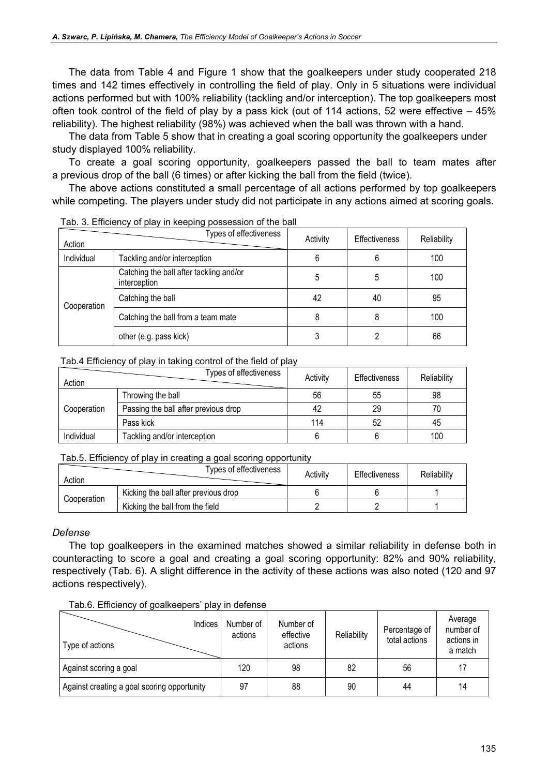The data from Table 4 and Figure 1 show that the goalkeepers under study cooperated 218 times and 142 times effectively in controlling the field of play. Only in 5 situations were individual actions performed but with 100% reliability (tackling and/or interception). The top goalkeepers most often took control of the field of play by a pass kick (out of 114 actions, 52 were effective – 45% reliability). The highest reliability (98%) was achieved when the ball was thrown with a hand.

The data from Table 5 show that in creating a goal scoring opportunity the goalkeepers under study displayed 100% reliability.

To create a goal scoring opportunity, goalkeepers passed the ball to team mates after a previous drop of the ball (6 times) or after kicking the ball from the field (twice).

The above actions constituted a small percentage of all actions performed by top goalkeepers while competing. The players under study did not participate in any actions aimed at scoring goals.

| Action      | Types of effectiveness                                  | Activity | <b>Effectiveness</b> | Reliability |
|-------------|---------------------------------------------------------|----------|----------------------|-------------|
| Individual  | Tackling and/or interception                            | 6        | 6                    | 100         |
| Cooperation | Catching the ball after tackling and/or<br>interception | 5        | 5                    | 100         |
|             | Catching the ball                                       | 42       | 40                   | 95          |
|             | Catching the ball from a team mate                      | 8        | 8                    | 100         |
|             | other (e.g. pass kick)                                  |          |                      | 66          |

#### Tab. 3. Efficiency of play in keeping possession of the ball

#### Tab.4 Efficiency of play in taking control of the field of play

| Action      | Types of effectiveness               | Activity | <b>Effectiveness</b> | Reliability |
|-------------|--------------------------------------|----------|----------------------|-------------|
|             | Throwing the ball                    | 56       | 55                   | 98          |
| Cooperation | Passing the ball after previous drop | 42       | 29                   | 70          |
|             | Pass kick                            | 114      | 52                   | 45          |
| Individual  | Tackling and/or interception         |          |                      | 100         |

#### Tab.5. Efficiency of play in creating a goal scoring opportunity

| Action      | Types of effectiveness               | Activity | Effectiveness | Reliability |
|-------------|--------------------------------------|----------|---------------|-------------|
| Cooperation | Kicking the ball after previous drop |          |               |             |
|             | Kicking the ball from the field      |          |               |             |

#### Defense

The top goalkeepers in the examined matches showed a similar reliability in defense both in counteracting to score a goal and creating a goal scoring opportunity: 82% and 90% reliability, respectively (Tab. 6). A slight difference in the activity of these actions was also noted (120 and 97 actions respectively).

| Indices<br>Type of actions                  | Number of<br>actions | Number of<br>effective<br>actions | Reliability | Percentage of<br>total actions | Average<br>number of<br>actions in<br>a match |
|---------------------------------------------|----------------------|-----------------------------------|-------------|--------------------------------|-----------------------------------------------|
| Against scoring a goal                      | 120                  | 98                                | 82          | 56                             | 17                                            |
| Against creating a goal scoring opportunity | 97                   | 88                                | 90          | 44                             | 14                                            |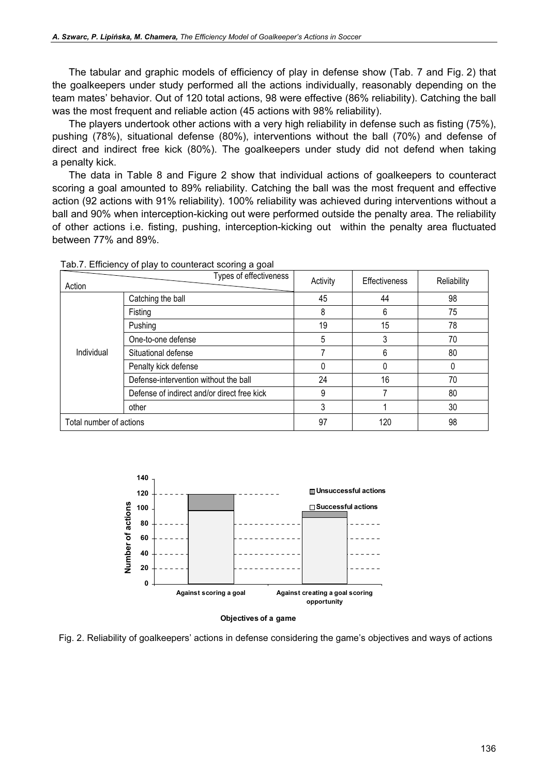The tabular and graphic models of efficiency of play in defense show (Tab. 7 and Fig. 2) that the goalkeepers under study performed all the actions individually, reasonably depending on the team mates' behavior. Out of 120 total actions, 98 were effective (86% reliability). Catching the ball was the most frequent and reliable action (45 actions with 98% reliability).

The players undertook other actions with a very high reliability in defense such as fisting (75%), pushing (78%), situational defense (80%), interventions without the ball (70%) and defense of direct and indirect free kick (80%). The goalkeepers under study did not defend when taking a penalty kick.

The data in Table 8 and Figure 2 show that individual actions of goalkeepers to counteract scoring a goal amounted to 89% reliability. Catching the ball was the most frequent and effective action (92 actions with 91% reliability). 100% reliability was achieved during interventions without a ball and 90% when interception-kicking out were performed outside the penalty area. The reliability of other actions i.e. fisting, pushing, interception-kicking out within the penalty area fluctuated between 77% and 89%.

| Action                  | Types of effectiveness                      | Activity | <b>Effectiveness</b> | Reliability |
|-------------------------|---------------------------------------------|----------|----------------------|-------------|
|                         | Catching the ball                           | 45       | 44                   | 98          |
|                         | Fisting                                     | 8        | 6                    | 75          |
|                         | Pushing                                     | 19       | 15                   | 78          |
| Individual              | One-to-one defense                          | 5        | 3                    | 70          |
|                         | Situational defense                         |          | 6                    | 80          |
|                         | Penalty kick defense                        | 0        | $\Omega$             | 0           |
|                         | Defense-intervention without the ball       | 24       | 16                   | 70          |
|                         | Defense of indirect and/or direct free kick | 9        |                      | 80          |
|                         | other                                       | 3        |                      | 30          |
| Total number of actions |                                             | 97       | 120                  | 98          |

Tab.7. Efficiency of play to counteract scoring a goal



#### Objectives of a game

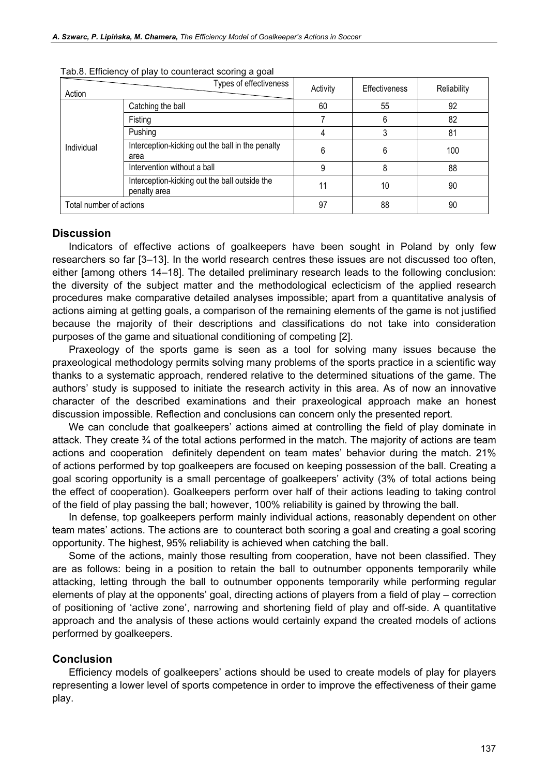| Action                  | Types of effectiveness                                        | Activity | <b>Effectiveness</b> | <b>Reliability</b> |
|-------------------------|---------------------------------------------------------------|----------|----------------------|--------------------|
|                         | Catching the ball                                             | 60       | 55                   | 92                 |
|                         | Fisting                                                       |          | 6                    | 82                 |
| Individual              | Pushing                                                       |          |                      | 81                 |
|                         | Interception-kicking out the ball in the penalty<br>area      | 6        | 6                    | 100                |
|                         | Intervention without a ball                                   | 9        | 8                    | 88                 |
|                         | Interception-kicking out the ball outside the<br>penalty area | 11       | 10                   | 90                 |
| Total number of actions |                                                               | 97       | 88                   | 90                 |

Tab.8. Efficiency of play to counteract scoring a goal

#### **Discussion**

Indicators of effective actions of goalkeepers have been sought in Poland by only few researchers so far [3–13]. In the world research centres these issues are not discussed too often, either [among others 14–18]. The detailed preliminary research leads to the following conclusion: the diversity of the subject matter and the methodological eclecticism of the applied research procedures make comparative detailed analyses impossible; apart from a quantitative analysis of actions aiming at getting goals, a comparison of the remaining elements of the game is not justified because the majority of their descriptions and classifications do not take into consideration purposes of the game and situational conditioning of competing [2].

Praxeology of the sports game is seen as a tool for solving many issues because the praxeological methodology permits solving many problems of the sports practice in a scientific way thanks to a systematic approach, rendered relative to the determined situations of the game. The authors' study is supposed to initiate the research activity in this area. As of now an innovative character of the described examinations and their praxeological approach make an honest discussion impossible. Reflection and conclusions can concern only the presented report.

We can conclude that goalkeepers' actions aimed at controlling the field of play dominate in attack. They create ¾ of the total actions performed in the match. The majority of actions are team actions and cooperation definitely dependent on team mates' behavior during the match. 21% of actions performed by top goalkeepers are focused on keeping possession of the ball. Creating a goal scoring opportunity is a small percentage of goalkeepers' activity (3% of total actions being the effect of cooperation). Goalkeepers perform over half of their actions leading to taking control of the field of play passing the ball; however, 100% reliability is gained by throwing the ball.

In defense, top goalkeepers perform mainly individual actions, reasonably dependent on other team mates' actions. The actions are to counteract both scoring a goal and creating a goal scoring opportunity. The highest, 95% reliability is achieved when catching the ball.

Some of the actions, mainly those resulting from cooperation, have not been classified. They are as follows: being in a position to retain the ball to outnumber opponents temporarily while attacking, letting through the ball to outnumber opponents temporarily while performing regular elements of play at the opponents' goal, directing actions of players from a field of play – correction of positioning of 'active zone', narrowing and shortening field of play and off-side. A quantitative approach and the analysis of these actions would certainly expand the created models of actions performed by goalkeepers.

#### Conclusion

Efficiency models of goalkeepers' actions should be used to create models of play for players representing a lower level of sports competence in order to improve the effectiveness of their game play.